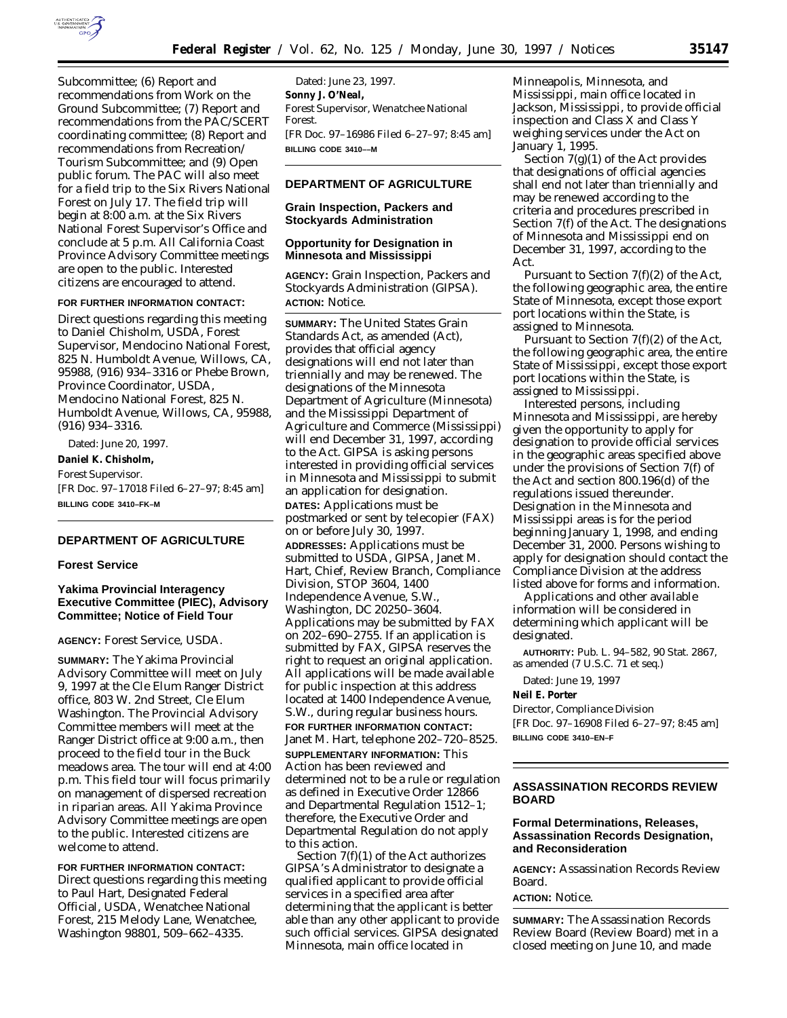

Subcommittee; (6) Report and recommendations from Work on the Ground Subcommittee; (7) Report and recommendations from the PAC/SCERT coordinating committee; (8) Report and recommendations from Recreation/ Tourism Subcommittee; and (9) Open public forum. The PAC will also meet for a field trip to the Six Rivers National Forest on July 17. The field trip will begin at 8:00 a.m. at the Six Rivers National Forest Supervisor's Office and conclude at 5 p.m. All California Coast Province Advisory Committee meetings are open to the public. Interested citizens are encouraged to attend.

#### **FOR FURTHER INFORMATION CONTACT:**

Direct questions regarding this meeting to Daniel Chisholm, USDA, Forest Supervisor, Mendocino National Forest, 825 N. Humboldt Avenue, Willows, CA, 95988, (916) 934–3316 or Phebe Brown, Province Coordinator, USDA, Mendocino National Forest, 825 N. Humboldt Avenue, Willows, CA, 95988, (916) 934–3316.

Dated: June 20, 1997. **Daniel K. Chisholm,** *Forest Supervisor.* [FR Doc. 97–17018 Filed 6–27–97; 8:45 am] **BILLING CODE 3410–FK–M**

## **DEPARTMENT OF AGRICULTURE**

#### **Forest Service**

# **Yakima Provincial Interagency Executive Committee (PIEC), Advisory Committee; Notice of Field Tour**

# **AGENCY:** Forest Service, USDA.

**SUMMARY:** The Yakima Provincial Advisory Committee will meet on July 9, 1997 at the Cle Elum Ranger District office, 803 W. 2nd Street, Cle Elum Washington. The Provincial Advisory Committee members will meet at the Ranger District office at 9:00 a.m., then proceed to the field tour in the Buck meadows area. The tour will end at 4:00 p.m. This field tour will focus primarily on management of dispersed recreation in riparian areas. All Yakima Province Advisory Committee meetings are open to the public. Interested citizens are welcome to attend.

**FOR FURTHER INFORMATION CONTACT:** Direct questions regarding this meeting to Paul Hart, Designated Federal Official, USDA, Wenatchee National Forest, 215 Melody Lane, Wenatchee, Washington 98801, 509–662–4335.

Dated: June 23, 1997. **Sonny J. O'Neal,** *Forest Supervisor, Wenatchee National Forest.* [FR Doc. 97–16986 Filed 6–27–97; 8:45 am] **BILLING CODE 3410––M**

# **DEPARTMENT OF AGRICULTURE**

## **Grain Inspection, Packers and Stockyards Administration**

### **Opportunity for Designation in Minnesota and Mississippi**

**AGENCY:** Grain Inspection, Packers and Stockyards Administration (GIPSA). **ACTION:** Notice.

**SUMMARY:** The United States Grain Standards Act, as amended (Act), provides that official agency designations will end not later than triennially and may be renewed. The designations of the Minnesota Department of Agriculture (Minnesota) and the Mississippi Department of Agriculture and Commerce (Mississippi) will end December 31, 1997, according to the Act. GIPSA is asking persons interested in providing official services in Minnesota and Mississippi to submit an application for designation. **DATES:** Applications must be

postmarked or sent by telecopier (FAX) on or before July 30, 1997. **ADDRESSES:** Applications must be submitted to USDA, GIPSA, Janet M. Hart, Chief, Review Branch, Compliance Division, STOP 3604, 1400 Independence Avenue, S.W., Washington, DC 20250–3604. Applications may be submitted by FAX on 202–690–2755. If an application is submitted by FAX, GIPSA reserves the right to request an original application. All applications will be made available for public inspection at this address located at 1400 Independence Avenue, S.W., during regular business hours. **FOR FURTHER INFORMATION CONTACT:** Janet M. Hart, telephone 202–720–8525. **SUPPLEMENTARY INFORMATION:** This Action has been reviewed and determined not to be a rule or regulation as defined in Executive Order 12866 and Departmental Regulation 1512–1; therefore, the Executive Order and Departmental Regulation do not apply to this action.

Section  $7(f)(1)$  of the Act authorizes GIPSA's Administrator to designate a qualified applicant to provide official services in a specified area after determining that the applicant is better able than any other applicant to provide such official services. GIPSA designated Minnesota, main office located in

Minneapolis, Minnesota, and Mississippi, main office located in Jackson, Mississippi, to provide official inspection and Class X and Class Y weighing services under the Act on January 1, 1995.

Section  $7(g)(1)$  of the Act provides that designations of official agencies shall end not later than triennially and may be renewed according to the criteria and procedures prescribed in Section 7(f) of the Act. The designations of Minnesota and Mississippi end on December 31, 1997, according to the Act.

Pursuant to Section 7(f)(2) of the Act, the following geographic area, the entire State of Minnesota, except those export port locations within the State, is assigned to Minnesota.

Pursuant to Section 7(f)(2) of the Act, the following geographic area, the entire State of Mississippi, except those export port locations within the State, is assigned to Mississippi.

Interested persons, including Minnesota and Mississippi, are hereby given the opportunity to apply for designation to provide official services in the geographic areas specified above under the provisions of Section 7(f) of the Act and section 800.196(d) of the regulations issued thereunder. Designation in the Minnesota and Mississippi areas is for the period beginning January 1, 1998, and ending December 31, 2000. Persons wishing to apply for designation should contact the Compliance Division at the address listed above for forms and information.

Applications and other available information will be considered in determining which applicant will be designated.

**AUTHORITY:** Pub. L. 94–582, 90 Stat. 2867, as amended (7 U.S.C. 71 *et seq.*)

Dated: June 19, 1997

#### **Neil E. Porter**

*Director, Compliance Division* [FR Doc. 97–16908 Filed 6–27–97; 8:45 am] **BILLING CODE 3410–EN–F**

## **ASSASSINATION RECORDS REVIEW BOARD**

### **Formal Determinations, Releases, Assassination Records Designation, and Reconsideration**

**AGENCY:** Assassination Records Review Board.

### **ACTION:** Notice.

**SUMMARY:** The Assassination Records Review Board (Review Board) met in a closed meeting on June 10, and made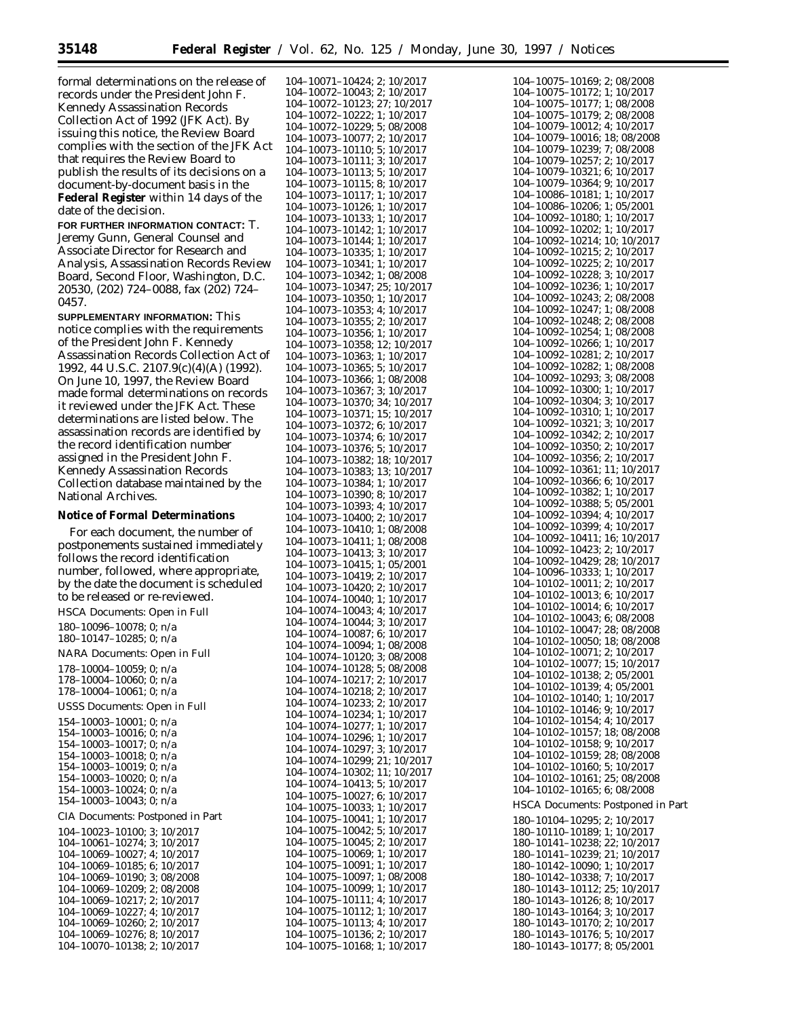formal determinations on the release of records under the President John F. Kennedy Assassination Records Collection Act of 1992 (JFK Act). By issuing this notice, the Review Board complies with the section of the JFK Act that requires the Review Board to publish the results of its decisions on a document-by-document basis in the **Federal Register** within 14 days of the date of the decision.

**FOR FURTHER INFORMATION CONTACT:** T. Jeremy Gunn, General Counsel and Associate Director for Research and Analysis, Assassination Records Review Board, Second Floor, Washington, D.C. 20530, (202) 724–0088, fax (202) 724– 0457.

**SUPPLEMENTARY INFORMATION:** This notice complies with the requirements of the President John F. Kennedy Assassination Records Collection Act of 1992, 44 U.S.C. 2107.9(c)(4)(A) (1992). On June 10, 1997, the Review Board made formal determinations on records it reviewed under the JFK Act. These determinations are listed below. The assassination records are identified by the record identification number assigned in the President John F. Kennedy Assassination Records Collection database maintained by the National Archives.

#### **Notice of Formal Determinations**

HSCA Documents: Open in Full

For each document, the number of postponements sustained immediately follows the record identification number, followed, where appropriate, by the date the document is scheduled to be released or re-reviewed.

180–10096–10078; 0; n/a 180–10147–10285; 0; n/a NARA Documents: Open in Full 178–10004–10059; 0; n/a 178–10004–10060; 0; n/a 178–10004–10061; 0; n/a USSS Documents: Open in Full 154–10003–10001; 0; n/a 154–10003–10016; 0; n/a 154–10003–10017; 0; n/a 154–10003–10018; 0; n/a 154–10003–10019; 0; n/a 154–10003–10020; 0; n/a 154–10003–10024; 0; n/a 154–10003–10043; 0; n/a CIA Documents: Postponed in Part 104–10023–10100; 3; 10/2017 104–10061–10274; 3; 10/2017 104–10069–10027; 4; 10/2017 104–10069–10185; 6; 10/2017 104–10069–10190; 3; 08/2008 104–10069–10209; 2; 08/2008 104–10069–10217; 2; 10/2017 104–10069–10227; 4; 10/2017 104–10069–10260; 2; 10/2017

104–10069–10276; 8; 10/2017 104–10070–10138; 2; 10/2017 104–10071–10424; 2; 10/2017 104–10072–10043; 2; 10/2017 104–10072–10123; 27; 10/2017 104–10072–10222; 1; 10/2017 104–10072–10229; 5; 08/2008 104–10073–10077; 2; 10/2017 104–10073–10110; 5; 10/2017 104–10073–10111; 3; 10/2017 104–10073–10113; 5; 10/2017 104–10073–10115; 8; 10/2017 104–10073–10117; 1; 10/2017 104–10073–10126; 1; 10/2017 104–10073–10133; 1; 10/2017 104–10073–10142; 1; 10/2017 104–10073–10144; 1; 10/2017 104–10073–10335; 1; 10/2017 104–10073–10341; 1; 10/2017 104–10073–10342; 1; 08/2008 104–10073–10347; 25; 10/2017 104–10073–10350; 1; 10/2017 104–10073–10353; 4; 10/2017 104–10073–10355; 2; 10/2017 104–10073–10356; 1; 10/2017 104–10073–10358; 12; 10/2017 104–10073–10363; 1; 10/2017 104–10073–10365; 5; 10/2017 104–10073–10366; 1; 08/2008 104–10073–10367; 3; 10/2017 104–10073–10370; 34; 10/2017 104–10073–10371; 15; 10/2017 104–10073–10372; 6; 10/2017 104–10073–10374; 6; 10/2017 104–10073–10376; 5; 10/2017 104–10073–10382; 18; 10/2017 104–10073–10383; 13; 10/2017 104–10073–10384; 1; 10/2017 104–10073–10390; 8; 10/2017 104–10073–10393; 4; 10/2017 104–10073–10400; 2; 10/2017 104–10073–10410; 1; 08/2008 104–10073–10411; 1; 08/2008 104–10073–10413; 3; 10/2017 104–10073–10415; 1; 05/2001 104–10073–10419; 2; 10/2017 104–10073–10420; 2; 10/2017 104–10074–10040; 1; 10/2017 104–10074–10043; 4; 10/2017 104–10074–10044; 3; 10/2017 104–10074–10087; 6; 10/2017 104–10074–10094; 1; 08/2008 104–10074–10120; 3; 08/2008 104–10074–10128; 5; 08/2008 104–10074–10217; 2; 10/2017 104–10074–10218; 2; 10/2017 104–10074–10233; 2; 10/2017 104–10074–10234; 1; 10/2017 104–10074–10277; 1; 10/2017 104–10074–10296; 1; 10/2017 104–10074–10297; 3; 10/2017 104–10074–10299; 21; 10/2017 104–10074–10302; 11; 10/2017 104–10074–10413; 5; 10/2017 104–10075–10027; 6; 10/2017 104–10075–10033; 1; 10/2017 104–10075–10041; 1; 10/2017 104–10075–10042; 5; 10/2017 104–10075–10045; 2; 10/2017 104–10075–10069; 1; 10/2017 104–10075–10091; 1; 10/2017 104–10075–10097; 1; 08/2008 104–10075–10099; 1; 10/2017 104–10075–10111; 4; 10/2017 104–10075–10112; 1; 10/2017 104–10075–10113; 4; 10/2017 104–10075–10136; 2; 10/2017 104–10075–10168; 1; 10/2017

| 104-10075-10169; 2; 08/2008                                                               |
|-------------------------------------------------------------------------------------------|
|                                                                                           |
|                                                                                           |
| 104-10075-10172; 1; 10/2017<br>104-10075-10177; 1; 08/2008                                |
| 104-10075-10179; 2; 08/2008<br>104-10079-10012; 4; 10/2017                                |
|                                                                                           |
| 104-10079-10016; 18; 08/2008<br>104-10079-10239; 7; 08/2008                               |
|                                                                                           |
| 104-10079-10257; 2; 10/2017                                                               |
| 104-10079-10321; 6; 10/2017                                                               |
|                                                                                           |
| 104-10079-10364; 9; 10/2017                                                               |
| 104-10086-10181; 1; 10/2017                                                               |
| 104-10086-10206; 1; 05/2001                                                               |
| 104-10092-10180; 1; 10/2017                                                               |
| 104-10092-10202; 1; 10/2017                                                               |
| $104 - 10092 - 10214$ ; 10; 10/2017                                                       |
| 104-10092-10215; 2; 10/2017                                                               |
|                                                                                           |
| $104 - 10092 - 10225$ ; 2; $10/2017$<br>$104 - 10092 - 10228$ ; 3; $10/2017$              |
|                                                                                           |
| $104 - 10092 - 10236$ ; 1; 10/2017                                                        |
| $104 - 10092 - 10243$ ; 2; 08/2008                                                        |
| 104-10092-10247; 1; 08/2008                                                               |
| 104-10092-10248; 2; 08/2008                                                               |
| 104-10092-10254; 1; 08/2008                                                               |
|                                                                                           |
| 104-10092-10266; 1; 10/2017                                                               |
| 104-10092-10281; 2; 10/2017                                                               |
| 104-10092-10282; 1; 08/2008                                                               |
| 104-10092-10293; 3; 08/2008                                                               |
| 104-10092-10300; 1; 10/2017                                                               |
|                                                                                           |
| 104-10092-10304; 3; 10/2017<br>104-10092-10310; 1; 10/2017                                |
|                                                                                           |
| 104-10092-10321; 3; 10/2017<br>104-10092-10342; 2; 10/2017                                |
|                                                                                           |
| $104-10092-10350; 2; 10/2017$<br>$104-10092-10356; 2; 10/2017$                            |
|                                                                                           |
| 104-10092-10361; 11; 10/2017                                                              |
| 104-10092-10366; 6; 10/2017                                                               |
| 104-10092-10382; 1; 10/2017                                                               |
| 104-10092-10388; 5; 05/2001                                                               |
| 104-10092-10394; 4; 10/2017                                                               |
| 104-10092-10399; 4; 10/2017                                                               |
| 104-10092-10411; 16; 10/2017                                                              |
| 104-10092-10423; 2; 10/2017                                                               |
|                                                                                           |
| 104-10092-10429; 28; 10/2017                                                              |
| 104-10096-10333; 1; 10/2017                                                               |
| 104-10102-10011; 2; 10/2017                                                               |
|                                                                                           |
|                                                                                           |
| 104-10102-10013; 6; 10/2017                                                               |
| 104-10102-10014; 6; 10/2017                                                               |
| 104-10102-10043; 6; 08/2008                                                               |
| 104-10102-10047; 28; 08/2008                                                              |
| 104-10102-10050; 18; 08/2008                                                              |
| 104-10102-10071; 2; 10/2017                                                               |
| 104-10102-10077; 15; 10/2017                                                              |
| 104-10102-10138; 2; 05/2001                                                               |
|                                                                                           |
| 104-10102-10139; 4; 05/2001                                                               |
| 104-10102-10140; 1; 10/2017                                                               |
| $104 - 10102 - 10146$ ; 9; 10/2017                                                        |
| 104-10102-10154; 4; 10/2017                                                               |
|                                                                                           |
| 104-10102-10157; 18; 08/2008<br>104-10102-10158; 9; 10/2017                               |
| 104-10102-10159; 28; 08/2008                                                              |
| 104-10102-10160; 5; 10/2017                                                               |
|                                                                                           |
| $104-10102-10161; 25; 08/2008$<br>$104-10102-10165; 6; 08/2008$                           |
|                                                                                           |
| HSCA Documents: Postponed in Part                                                         |
| 180-10104-10295; 2; 10/2017                                                               |
|                                                                                           |
| 180-10110-10189; 1; 10/2017                                                               |
| 180-10141-10238; 22; 10/2017                                                              |
| 180-10141-10239; 21; 10/2017                                                              |
| 180-10142-10090; 1; 10/2017                                                               |
| 180-10142-10338; 7; 10/2017                                                               |
| 180-10143-10112; 25; 10/2017                                                              |
| 180-10143-10126; 8; 10/2017                                                               |
| 180-10143-10164; 3; 10/2017                                                               |
|                                                                                           |
|                                                                                           |
| 180-10143-10170; 2; 10/2017<br>180-10143-10176; 5; 10/2017<br>180-10143-10177; 8; 05/2001 |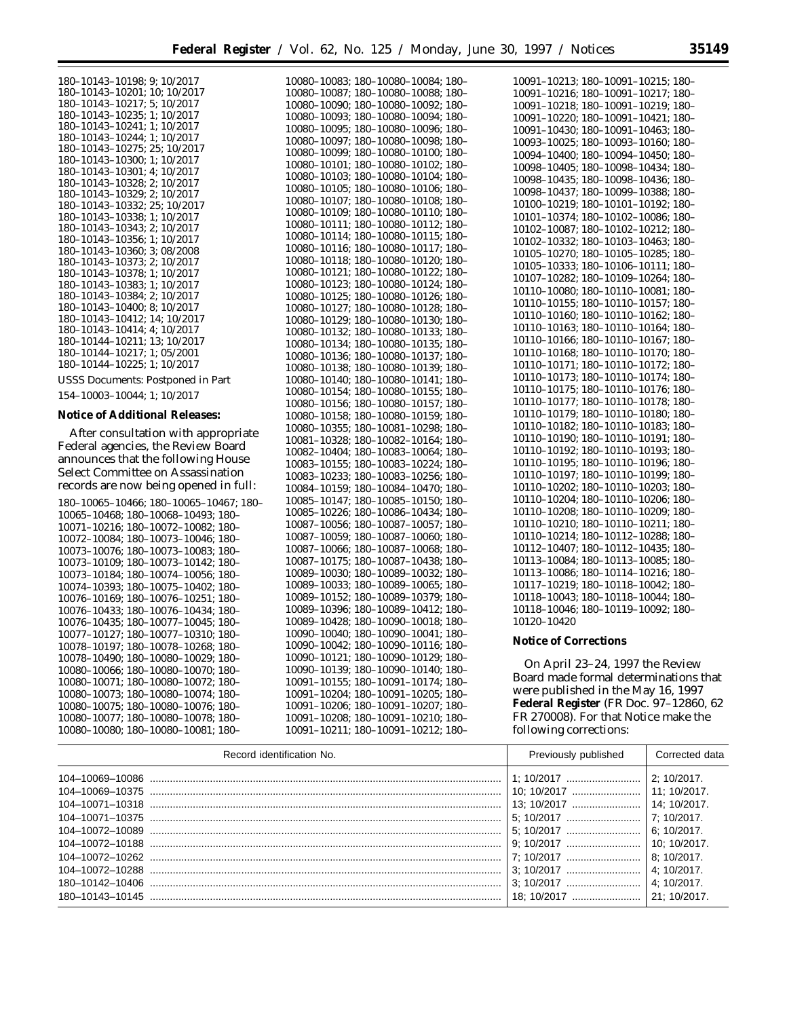10080–10083; 180–10080–10084; 180–

| 180-10143-10198; 9; 10/2017  |
|------------------------------|
| 180-10143-10201; 10; 10/2017 |
| 180-10143-10217; 5; 10/2017  |
| 180-10143-10235; 1; 10/2017  |
| 180-10143-10241: 1: 10/2017  |
| 180-10143-10244; 1; 10/2017  |
| 180-10143-10275: 25: 10/2017 |
| 180-10143-10300; 1; 10/2017  |
| 180-10143-10301; 4; 10/2017  |
| 180-10143-10328; 2; 10/2017  |
| 180-10143-10329; 2; 10/2017  |
| 180-10143-10332; 25; 10/2017 |
| 180-10143-10338; 1; 10/2017  |
| 180-10143-10343; 2; 10/2017  |
| 180-10143-10356: 1: 10/2017  |
| 180-10143-10360; 3; 08/2008  |
| 180-10143-10373; 2; 10/2017  |
| 180-10143-10378; 1; 10/2017  |
| 180-10143-10383; 1; 10/2017  |
| 180-10143-10384; 2; 10/2017  |
| 180-10143-10400; 8; 10/2017  |
| 180-10143-10412: 14: 10/2017 |
| 180-10143-10414; 4; 10/2017  |
| 180-10144-10211; 13; 10/2017 |
| 180-10144-10217; 1; 05/2001  |
| 180-10144-10225; 1; 10/2017  |
|                              |

USSS Documents: Postponed in Part

154–10003–10044; 1; 10/2017

# **Notice of Additional Releases:**

After consultation with appropriate Federal agencies, the Review Board announces that the following House Select Committee on Assassination records are now being opened in full:

180–10065–10466; 180–10065–10467; 180– 10065–10468; 180–10068–10493; 180– 10071–10216; 180–10072–10082; 180– 10072–10084; 180–10073–10046; 180– 10073–10076; 180–10073–10083; 180– 10073–10109; 180–10073–10142; 180– 10073–10184; 180–10074–10056; 180– 10074–10393; 180–10075–10402; 180– 10076–10169; 180–10076–10251; 180– 10076–10433; 180–10076–10434; 180– 10076–10435; 180–10077–10045; 180– 10077–10127; 180–10077–10310; 180– 10078–10197; 180–10078–10268; 180– 10078–10490; 180–10080–10029; 180– 10080–10066; 180–10080–10070; 180– 10080–10071; 180–10080–10072; 180– 10080–10073; 180–10080–10074; 180– 10080–10075; 180–10080–10076; 180– 10080–10077; 180–10080–10078; 180– 10080–10080; 180–10080–10081; 180–

10080–10087; 180–10080–10088; 180– 10080–10090; 180–10080–10092; 180– 10080–10093; 180–10080–10094; 180– 10080–10095; 180–10080–10096; 180– 10080–10097; 180–10080–10098; 180– 10080–10099; 180–10080–10100; 180– 10080–10101; 180–10080–10102; 180– 10080–10103; 180–10080–10104; 180– 10080–10105; 180–10080–10106; 180– 10080–10107; 180–10080–10108; 180– 10080–10109; 180–10080–10110; 180– 10080–10111; 180–10080–10112; 180– 10080–10114; 180–10080–10115; 180– 10080–10116; 180–10080–10117; 180– 10080–10118; 180–10080–10120; 180– 10080–10121; 180–10080–10122; 180– 10080–10123; 180–10080–10124; 180– 10080–10125; 180–10080–10126; 180– 10080–10127; 180–10080–10128; 180– 10080–10129; 180–10080–10130; 180– 10080–10132; 180–10080–10133; 180– 10080–10134; 180–10080–10135; 180– 10080–10136; 180–10080–10137; 180– 10080–10138; 180–10080–10139; 180– 10080–10140; 180–10080–10141; 180– 10080–10154; 180–10080–10155; 180– 10080–10156; 180–10080–10157; 180– 10080–10158; 180–10080–10159; 180– 10080–10355; 180–10081–10298; 180– 10081–10328; 180–10082–10164; 180– 10082–10404; 180–10083–10064; 180– 10083–10155; 180–10083–10224; 180– 10083–10233; 180–10083–10256; 180– 10084–10159; 180–10084–10470; 180– 10085–10147; 180–10085–10150; 180– 10085–10226; 180–10086–10434; 180– 10087–10056; 180–10087–10057; 180– 10087–10059; 180–10087–10060; 180– 10087–10066; 180–10087–10068; 180– 10087–10175; 180–10087–10438; 180– 10089–10030; 180–10089–10032; 180– 10089–10033; 180–10089–10065; 180– 10089–10152; 180–10089–10379; 180– 10089–10396; 180–10089–10412; 180– 10089–10428; 180–10090–10018; 180– 10090–10040; 180–10090–10041; 180– 10090–10042; 180–10090–10116; 180– 10090–10121; 180–10090–10129; 180– 10090–10139; 180–10090–10140; 180– 10091–10155; 180–10091–10174; 180– 10091–10204; 180–10091–10205; 180– 10091–10206; 180–10091–10207; 180– 10091–10208; 180–10091–10210; 180– 10091–10211; 180–10091–10212; 180–

10091–10213; 180–10091–10215; 180– 10091–10216; 180–10091–10217; 180– 10091–10218; 180–10091–10219; 180– 10091–10220; 180–10091–10421; 180– 10091–10430; 180–10091–10463; 180– 10093–10025; 180–10093–10160; 180– 10094–10400; 180–10094–10450; 180– 10098–10405; 180–10098–10434; 180– 10098–10435; 180–10098–10436; 180– 10098–10437; 180–10099–10388; 180– 10100–10219; 180–10101–10192; 180– 10101–10374; 180–10102–10086; 180– 10102–10087; 180–10102–10212; 180– 10102–10332; 180–10103–10463; 180– 10105–10270; 180–10105–10285; 180– 10105–10333; 180–10106–10111; 180– 10107–10282; 180–10109–10264; 180– 10110–10080; 180–10110–10081; 180– 10110–10155; 180–10110–10157; 180– 10110–10160; 180–10110–10162; 180– 10110–10163; 180–10110–10164; 180– 10110–10166; 180–10110–10167; 180– 10110–10168; 180–10110–10170; 180– 10110–10171; 180–10110–10172; 180– 10110–10173; 180–10110–10174; 180– 10110–10175; 180–10110–10176; 180– 10110–10177; 180–10110–10178; 180– 10110–10179; 180–10110–10180; 180– 10110–10182; 180–10110–10183; 180– 10110–10190; 180–10110–10191; 180– 10110–10192; 180–10110–10193; 180– 10110–10195; 180–10110–10196; 180– 10110–10197; 180–10110–10199; 180– 10110–10202; 180–10110–10203; 180– 10110–10204; 180–10110–10206; 180– 10110–10208; 180–10110–10209; 180– 10110–10210; 180–10110–10211; 180– 10110–10214; 180–10112–10288; 180– 10112–10407; 180–10112–10435; 180– 10113–10084; 180–10113–10085; 180– 10113–10086; 180–10114–10216; 180– 10117–10219; 180–10118–10042; 180– 10118–10043; 180–10118–10044; 180– 10118–10046; 180–10119–10092; 180– 10120–10420

#### **Notice of Corrections**

On April 23–24, 1997 the Review Board made formal determinations that were published in the May 16, 1997 **Federal Register** (FR Doc. 97–12860, 62 FR 270008). For that Notice make the following corrections:

| Record identification No. | Previously published | Corrected data |
|---------------------------|----------------------|----------------|
|                           |                      | 2:10/2017.     |
|                           | 10: 10/2017          | 11: 10/2017.   |
|                           |                      | 14: 10/2017.   |
|                           | 5: 10/2017           | 7: 10/2017.    |
|                           |                      | $6:10/2017$ .  |
|                           |                      | 10: 10/2017.   |
|                           | 7: 10/2017           | $8:10/2017$ .  |
|                           |                      | 4: 10/2017.    |
|                           |                      | 4: 10/2017.    |
|                           | 18: 10/2017          | 21: 10/2017.   |